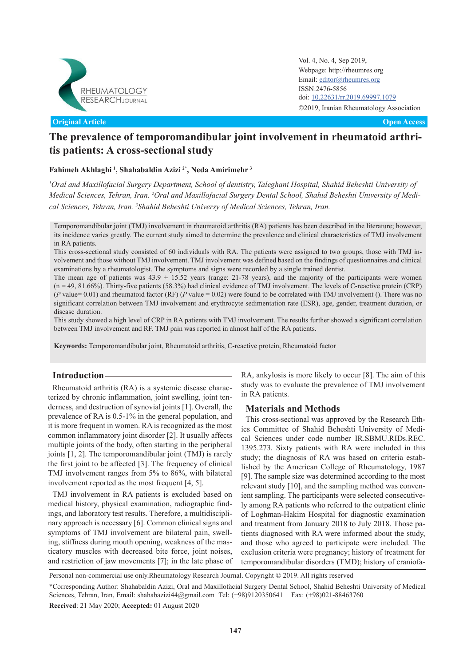

**Original Article Open Access**

Vol. 4, No. 4, Sep 2019, Webpage: http://rheumres.org Email: [editor@rheumres.org](http://editor@rheumres.org) ISSN:2476-5856 doi: doi: 10.22631/rr.2019.69997.1079©2019, Iranian Rheumatology Association

# **The prevalence of temporomandibular joint involvement in rheumatoid arthritis patients: A cross-sectional study**

# **Fahimeh Akhlaghi <sup>1</sup> , Shahabaldin Azizi 2\*, Neda Amirimehr <sup>3</sup>**

*<sup>1</sup>Oral and Maxillofacial Surgery Department, School of dentistry, Taleghani Hospital, Shahid Beheshti University of Medical Sciences, Tehran, Iran. 2Oral and Maxillofacial Surgery Dental School, Shahid Beheshti University of Medical Sciences, Tehran, Iran. <sup>3</sup>Shahid Beheshti Universy of Medical Sciences, Tehran, Iran.*

This cross-sectional study consisted of 60 individuals with RA. The patients were assigned to two groups, those with TMJ involvement and those without TMJ involvement. TMJ involvement was defined based on the findings of questionnaires and clinical examinations by a rheumatologist. The symptoms and signs were recorded by a single trained dentist.

The mean age of patients was  $43.9 \pm 15.52$  years (range: 21-78 years), and the majority of the participants were women (n = 49, 81.66%). Thirty-five patients (58.3%) had clinical evidence of TMJ involvement. The levels of C-reactive protein (CRP) (*P* value= 0.01) and rheumatoid factor (RF) (*P* value = 0.02) were found to be correlated with TMJ involvement (). There was no significant correlation between TMJ involvement and erythrocyte sedimentation rate (ESR), age, gender, treatment duration, or disease duration.

This study showed a high level of CRP in RA patients with TMJ involvement. The results further showed a significant correlation between TMJ involvement and RF. TMJ pain was reported in almost half of the RA patients.

**Keywords:** Temporomandibular joint, Rheumatoid arthritis, C-reactive protein, Rheumatoid factor

# **Introduction**

Rheumatoid arthritis (RA) is a systemic disease characterized by chronic inflammation, joint swelling, joint tenderness, and destruction of synovial joints [1]. Overall, the prevalence of RA is 0.5-1% in the general population, and it is more frequent in women. RA is recognized as the most common inflammatory joint disorder [2]. It usually affects multiple joints of the body, often starting in the peripheral joints [1, 2]. The temporomandibular joint (TMJ) is rarely the first joint to be affected [3]. The frequency of clinical TMJ involvement ranges from 5% to 86%, with bilateral involvement reported as the most frequent [4, 5].

TMJ involvement in RA patients is excluded based on medical history, physical examination, radiographic findings, and laboratory test results. Therefore, a multidisciplinary approach is necessary [6]. Common clinical signs and symptoms of TMJ involvement are bilateral pain, swelling, stiffness during mouth opening, weakness of the masticatory muscles with decreased bite force, joint noises, and restriction of jaw movements [7]; in the late phase of RA, ankylosis is more likely to occur [8]. The aim of this study was to evaluate the prevalence of TMJ involvement in RA patients.

# **Materials and Methods**

This cross-sectional was approved by the Research Ethics Committee of Shahid Beheshti University of Medical Sciences under code number IR.SBMU.RIDs.REC. 1395.273. Sixty patients with RA were included in this study; the diagnosis of RA was based on criteria established by the American College of Rheumatology, 1987 [9]. The sample size was determined according to the most relevant study [10], and the sampling method was convenient sampling. The participants were selected consecutively among RA patients who referred to the outpatient clinic of Loghman-Hakim Hospital for diagnostic examination and treatment from January 2018 to July 2018. Those patients diagnosed with RA were informed about the study, and those who agreed to participate were included. The exclusion criteria were pregnancy; history of treatment for temporomandibular disorders (TMD); history of craniofa-

Personal non-commercial use only.Rheumatology Research Journal. Copyright © 2019. All rights reserved

\*Corresponding Author: Shahabaldin Azizi, Oral and Maxillofacial Surgery Dental School, Shahid Beheshti University of Medical Sciences, Tehran, Iran, Email: shahabazizi44@gmail.com Tel: (+98)9120350641 Fax: (+98)021-88463760

**Received**: 21 May 2020; **Accepted:** 01 August 2020

Temporomandibular joint (TMJ) involvement in rheumatoid arthritis (RA) patients has been described in the literature; however, its incidence varies greatly. The current study aimed to determine the prevalence and clinical characteristics of TMJ involvement in RA patients.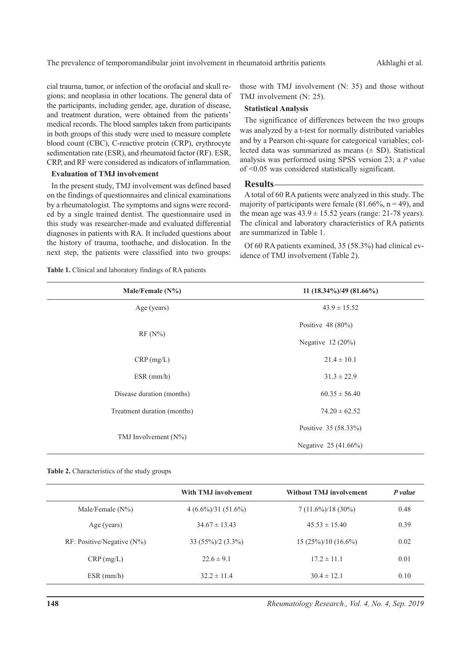cial trauma, tumor, or infection of the orofacial and skull regions; and neoplasia in other locations. The general data of the participants, including gender, age, duration of disease, and treatment duration, were obtained from the patients' medical records. The blood samples taken from participants in both groups of this study were used to measure complete blood count (CBC), C-reactive protein (CRP), erythrocyte sedimentation rate (ESR), and rheumatoid factor (RF). ESR, CRP, and RF were considered as indicators of inflammation.

#### **Evaluation of TMJ involvement**

In the present study, TMJ involvement was defined based on the findings of questionnaires and clinical examinations by a rheumatologist. The symptoms and signs were recorded by a single trained dentist. The questionnaire used in this study was researcher-made and evaluated differential diagnoses in patients with RA. It included questions about the history of trauma, toothache, and dislocation. In the next step, the patients were classified into two groups:

**Table 1.** Clinical and laboratory findings of RA patients

those with TMJ involvement (N: 35) and those without TMJ involvement (N: 25).

## **Statistical Analysis**

The significance of differences between the two groups was analyzed by a t-test for normally distributed variables and by a Pearson chi-square for categorical variables; collected data was summarized as means  $(± SD)$ . Statistical analysis was performed using SPSS version 23; a *P* value of <0.05 was considered statistically significant.

#### **Results**

A total of 60 RA patients were analyzed in this study. The majority of participants were female  $(81.66\%, n = 49)$ , and the mean age was  $43.9 \pm 15.52$  years (range: 21-78 years). The clinical and laboratory characteristics of RA patients are summarized in Table 1.

Of 60 RA patients examined, 35 (58.3%) had clinical evidence of TMJ involvement (Table 2).

| Male/Female $(N\%)$         | 11 $(18.34\%)/49(81.66\%)$ |
|-----------------------------|----------------------------|
| Age (years)                 | $43.9 \pm 15.52$           |
|                             | Positive $48(80\%)$        |
| $RF(N\%)$                   | Negative 12 (20%)          |
| CRP(mg/L)                   | $21.4 \pm 10.1$            |
| $ESR$ (mm/h)                | $31.3 \pm 22.9$            |
| Disease duration (months)   | $60.35 \pm 56.40$          |
| Treatment duration (months) | $74.20 \pm 62.52$          |
|                             | Positive 35 (58.33%)       |
| TMJ Involvement $(N\%)$     | Negative 25 (41.66%)       |

**Table 2.** Characteristics of the study groups

|                               | <b>With TMJ involvement</b> | <b>Without TMJ involvement</b> | P value |
|-------------------------------|-----------------------------|--------------------------------|---------|
| Male/Female $(N\%)$           | $4(6.6\%)/31(51.6\%)$       | $7(11.6\%)/18(30\%)$           | 0.48    |
| Age (years)                   | $34.67 \pm 13.43$           | $45.53 \pm 15.40$              | 0.39    |
| $RF: Positive/Negative (N\%)$ | $33(55\%)/2(3.3\%)$         | $15(25\%)/10(16.6\%)$          | 0.02    |
| $CRP$ (mg/L)                  | $22.6 \pm 9.1$              | $17.2 \pm 11.1$                | 0.01    |
| $ESR$ (mm/h)                  | $32.2 \pm 11.4$             | $30.4 \pm 12.1$                | 0.10    |

*Rheumatology Research., Vol. 4, No. 4, Sep. 2019*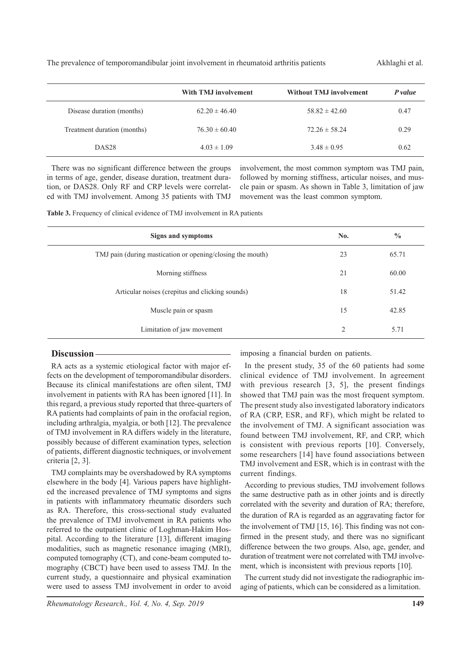The prevalence of temporomandibular joint involvement in rheumatoid arthritis patients Akhlaghi et al.

|                             | With TMJ involvement | <b>Without TMJ involvement</b> | P value |
|-----------------------------|----------------------|--------------------------------|---------|
| Disease duration (months)   | $62.20 \pm 46.40$    | $58.82 \pm 42.60$              | 0.47    |
| Treatment duration (months) | $76.30 \pm 60.40$    | $72.26 \pm 58.24$              | 0.29    |
| DAS <sub>28</sub>           | $4.03 \pm 1.09$      | $3.48 \pm 0.95$                | 0.62    |

There was no significant difference between the groups in terms of age, gender, disease duration, treatment duration, or DAS28. Only RF and CRP levels were correlated with TMJ involvement. Among 35 patients with TMJ

involvement, the most common symptom was TMJ pain, followed by morning stiffness, articular noises, and muscle pain or spasm. As shown in Table 3, limitation of jaw movement was the least common symptom.

Table 3. Frequency of clinical evidence of TMJ involvement in RA patients

| Signs and symptoms                                         | No. | $\frac{0}{0}$ |
|------------------------------------------------------------|-----|---------------|
| TMJ pain (during mastication or opening/closing the mouth) | 23  | 65.71         |
| Morning stiffness                                          | 21  | 60.00         |
| Articular noises (crepitus and clicking sounds)            | 18  | 51.42         |
| Muscle pain or spasm                                       | 15  | 42.85         |
| Limitation of jaw movement                                 | 2   | 5.71          |
|                                                            |     |               |

## **Discussion**

RA acts as a systemic etiological factor with major effects on the development of temporomandibular disorders. Because its clinical manifestations are often silent, TMJ involvement in patients with RA has been ignored [11]. In this regard, a previous study reported that three-quarters of RA patients had complaints of pain in the orofacial region, including arthralgia, myalgia, or both [12]. The prevalence of TMJ involvement in RA differs widely in the literature, possibly because of different examination types, selection of patients, different diagnostic techniques, or involvement criteria [2, 3].

TMJ complaints may be overshadowed by RA symptoms elsewhere in the body [4]. Various papers have highlighted the increased prevalence of TMJ symptoms and signs in patients with inflammatory rheumatic disorders such as RA. Therefore, this cross-sectional study evaluated the prevalence of TMJ involvement in RA patients who referred to the outpatient clinic of Loghman-Hakim Hospital. According to the literature [13], different imaging modalities, such as magnetic resonance imaging (MRI), computed tomography (CT), and cone-beam computed tomography (CBCT) have been used to assess TMJ. In the current study, a questionnaire and physical examination were used to assess TMJ involvement in order to avoid

imposing a financial burden on patients.

In the present study, 35 of the 60 patients had some clinical evidence of TMJ involvement. In agreement with previous research [3, 5], the present findings showed that TMJ pain was the most frequent symptom. The present study also investigated laboratory indicators of RA (CRP, ESR, and RF), which might be related to the involvement of TMJ. A significant association was found between TMJ involvement, RF, and CRP, which is consistent with previous reports [10]. Conversely, some researchers [14] have found associations between TMJ involvement and ESR, which is in contrast with the current findings.

According to previous studies, TMJ involvement follows the same destructive path as in other joints and is directly correlated with the severity and duration of RA; therefore, the duration of RA is regarded as an aggravating factor for the involvement of TMJ [15, 16]. This finding was not confirmed in the present study, and there was no significant difference between the two groups. Also, age, gender, and duration of treatment were not correlated with TMJ involvement, which is inconsistent with previous reports [10].

The current study did not investigate the radiographic imaging of patients, which can be considered as a limitation.

*Rheumatology Research., Vol. 4, No. 4, Sep. 2019*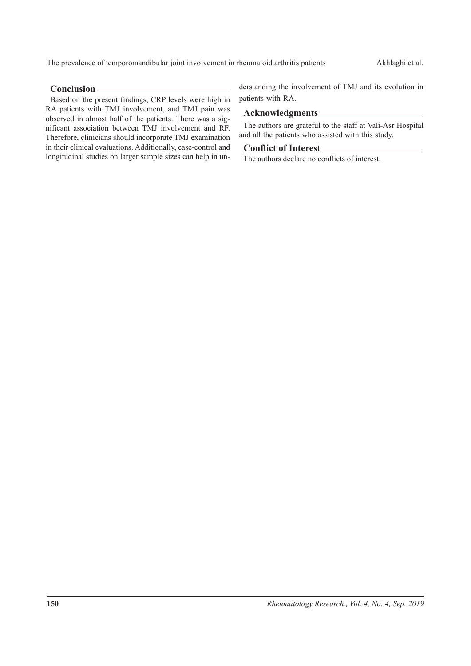The prevalence of temporomandibular joint involvement in rheumatoid arthritis patients Akhlaghi et al.

# **Conclusion**

Based on the present findings, CRP levels were high in RA patients with TMJ involvement, and TMJ pain was observed in almost half of the patients. There was a significant association between TMJ involvement and RF. Therefore, clinicians should incorporate TMJ examination in their clinical evaluations. Additionally, case-control and longitudinal studies on larger sample sizes can help in understanding the involvement of TMJ and its evolution in patients with RA.

## **Acknowledgments**

The authors are grateful to the staff at Vali-Asr Hospital and all the patients who assisted with this study.

## **Conflict of Interest**

The authors declare no conflicts of interest.